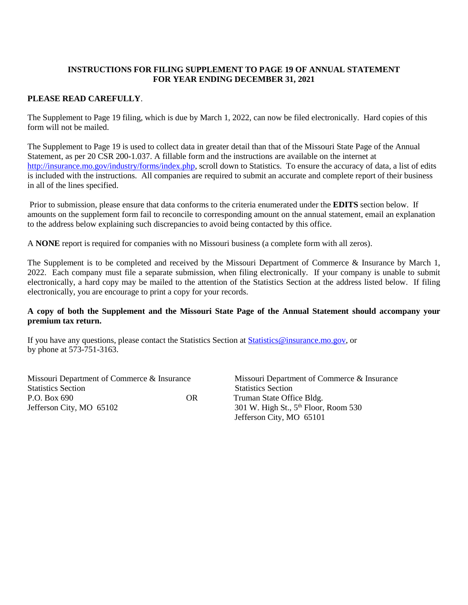## **INSTRUCTIONS FOR FILING SUPPLEMENT TO PAGE 19 OF ANNUAL STATEMENT FOR YEAR ENDING DECEMBER 31, 2021**

## **PLEASE READ CAREFULLY**.

The Supplement to Page 19 filing, which is due by March 1, 2022, can now be filed electronically. Hard copies of this form will not be mailed.

The Supplement to Page 19 is used to collect data in greater detail than that of the Missouri State Page of the Annual Statement, as per 20 CSR 200-1.037. A fillable form and the instructions are available on the internet at [http://insurance.mo.gov/industry/forms/index.php,](http://insurance.mo.gov/industry/forms/index.php) scroll down to Statistics. To ensure the accuracy of data, a list of edits is included with the instructions. All companies are required to submit an accurate and complete report of their business in all of the lines specified.

Prior to submission, please ensure that data conforms to the criteria enumerated under the **EDITS** section below. If amounts on the supplement form fail to reconcile to corresponding amount on the annual statement, email an explanation to the address below explaining such discrepancies to avoid being contacted by this office.

A **NONE** report is required for companies with no Missouri business (a complete form with all zeros).

The Supplement is to be completed and received by the Missouri Department of Commerce & Insurance by March 1, 2022. Each company must file a separate submission, when filing electronically. If your company is unable to submit electronically, a hard copy may be mailed to the attention of the Statistics Section at the address listed below. If filing electronically, you are encourage to print a copy for your records.

### **A copy of both the Supplement and the Missouri State Page of the Annual Statement should accompany your premium tax return.**

If you have any questions, please contact the Statistics Section at [Statistics@insurance.mo.gov,](mailto:Statistics@insurance.mo.gov) or by phone at 573-751-3163.

Missouri Department of Commerce & Insurance Missouri Department of Commerce & Insurance Statistics Section Statistics Section P.O. Box 690 **OR** Truman State Office Bldg. Jefferson City, MO  $65102$  301 W. High St.,  $5<sup>th</sup>$  Floor, Room 530

Jefferson City, MO 65101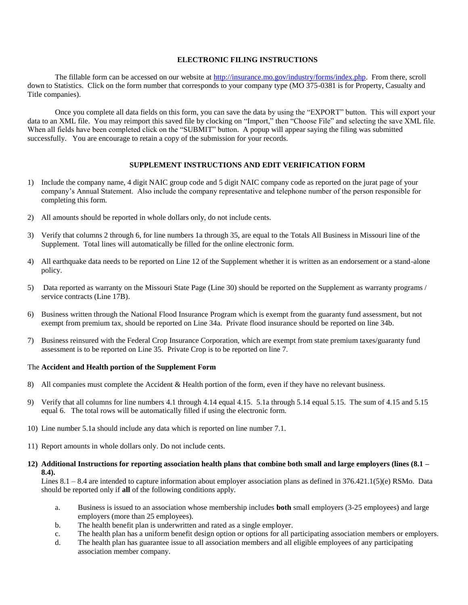### **ELECTRONIC FILING INSTRUCTIONS**

The fillable form can be accessed on our website at [http://insurance.mo.gov/industry/forms/index.php.](http://insurance.mo.gov/industry/forms/index.php) From there, scroll down to Statistics. Click on the form number that corresponds to your company type (MO 375-0381 is for Property, Casualty and Title companies).

Once you complete all data fields on this form, you can save the data by using the "EXPORT" button. This will export your data to an XML file. You may reimport this saved file by clocking on "Import," then "Choose File" and selecting the save XML file. When all fields have been completed click on the "SUBMIT" button. A popup will appear saying the filing was submitted successfully. You are encourage to retain a copy of the submission for your records.

#### **SUPPLEMENT INSTRUCTIONS AND EDIT VERIFICATION FORM**

- 1) Include the company name, 4 digit NAIC group code and 5 digit NAIC company code as reported on the jurat page of your company's Annual Statement. Also include the company representative and telephone number of the person responsible for completing this form.
- 2) All amounts should be reported in whole dollars only, do not include cents.
- 3) Verify that columns 2 through 6, for line numbers 1a through 35, are equal to the Totals All Business in Missouri line of the Supplement. Total lines will automatically be filled for the online electronic form.
- 4) All earthquake data needs to be reported on Line 12 of the Supplement whether it is written as an endorsement or a stand-alone policy.
- 5) Data reported as warranty on the Missouri State Page (Line 30) should be reported on the Supplement as warranty programs / service contracts (Line 17B).
- 6) Business written through the National Flood Insurance Program which is exempt from the guaranty fund assessment, but not exempt from premium tax, should be reported on Line 34a. Private flood insurance should be reported on line 34b.
- 7) Business reinsured with the Federal Crop Insurance Corporation, which are exempt from state premium taxes/guaranty fund assessment is to be reported on Line 35. Private Crop is to be reported on line 7.

#### The **Accident and Health portion of the Supplement Form**

- 8) All companies must complete the Accident & Health portion of the form, even if they have no relevant business.
- 9) Verify that all columns for line numbers 4.1 through 4.14 equal 4.15. 5.1a through 5.14 equal 5.15. The sum of 4.15 and 5.15 equal 6. The total rows will be automatically filled if using the electronic form.
- 10) Line number 5.1a should include any data which is reported on line number 7.1.
- 11) Report amounts in whole dollars only. Do not include cents.
- **12) Additional Instructions for reporting association health plans that combine both small and large employers (lines (8.1 – 8.4).**

Lines  $8.1 - 8.4$  are intended to capture information about employer association plans as defined in  $376.421.1(5)(e)$  RSMo. Data should be reported only if **all** of the following conditions apply.

- a. Business is issued to an association whose membership includes **both** small employers (3-25 employees) and large employers (more than 25 employees).
- b. The health benefit plan is underwritten and rated as a single employer.
- c. The health plan has a uniform benefit design option or options for all participating association members or employers.
- d. The health plan has guarantee issue to all association members and all eligible employees of any participating association member company.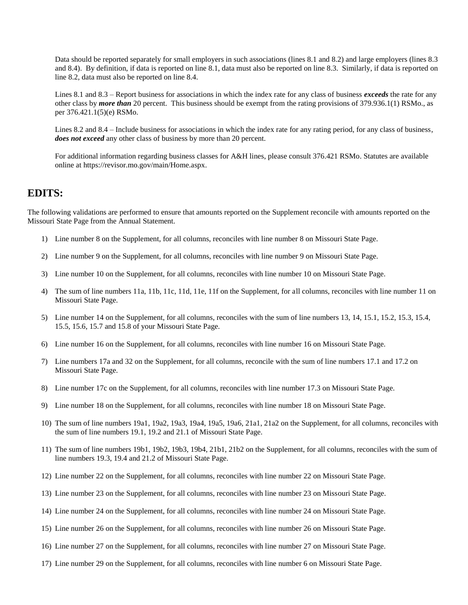Data should be reported separately for small employers in such associations (lines 8.1 and 8.2) and large employers (lines 8.3 and 8.4). By definition, if data is reported on line 8.1, data must also be reported on line 8.3. Similarly, if data is reported on line 8.2, data must also be reported on line 8.4.

Lines 8.1 and 8.3 – Report business for associations in which the index rate for any class of business *exceeds* the rate for any other class by *more than* 20 percent. This business should be exempt from the rating provisions of 379.936.1(1) RSMo., as per 376.421.1(5)(e) RSMo.

Lines 8.2 and 8.4 – Include business for associations in which the index rate for any rating period, for any class of business, *does not exceed* any other class of business by more than 20 percent.

For additional information regarding business classes for A&H lines, please consult 376.421 RSMo. Statutes are available online at https://revisor.mo.gov/main/Home.aspx.

# **EDITS:**

The following validations are performed to ensure that amounts reported on the Supplement reconcile with amounts reported on the Missouri State Page from the Annual Statement.

- 1) Line number 8 on the Supplement, for all columns, reconciles with line number 8 on Missouri State Page.
- 2) Line number 9 on the Supplement, for all columns, reconciles with line number 9 on Missouri State Page.
- 3) Line number 10 on the Supplement, for all columns, reconciles with line number 10 on Missouri State Page.
- 4) The sum of line numbers 11a, 11b, 11c, 11d, 11e, 11f on the Supplement, for all columns, reconciles with line number 11 on Missouri State Page.
- 5) Line number 14 on the Supplement, for all columns, reconciles with the sum of line numbers 13, 14, 15.1, 15.2, 15.3, 15.4, 15.5, 15.6, 15.7 and 15.8 of your Missouri State Page.
- 6) Line number 16 on the Supplement, for all columns, reconciles with line number 16 on Missouri State Page.
- 7) Line numbers 17a and 32 on the Supplement, for all columns, reconcile with the sum of line numbers 17.1 and 17.2 on Missouri State Page.
- 8) Line number 17c on the Supplement, for all columns, reconciles with line number 17.3 on Missouri State Page.
- 9) Line number 18 on the Supplement, for all columns, reconciles with line number 18 on Missouri State Page.
- 10) The sum of line numbers 19a1, 19a2, 19a3, 19a4, 19a5, 19a6, 21a1, 21a2 on the Supplement, for all columns, reconciles with the sum of line numbers 19.1, 19.2 and 21.1 of Missouri State Page.
- 11) The sum of line numbers 19b1, 19b2, 19b3, 19b4, 21b1, 21b2 on the Supplement, for all columns, reconciles with the sum of line numbers 19.3, 19.4 and 21.2 of Missouri State Page.
- 12) Line number 22 on the Supplement, for all columns, reconciles with line number 22 on Missouri State Page.
- 13) Line number 23 on the Supplement, for all columns, reconciles with line number 23 on Missouri State Page.
- 14) Line number 24 on the Supplement, for all columns, reconciles with line number 24 on Missouri State Page.
- 15) Line number 26 on the Supplement, for all columns, reconciles with line number 26 on Missouri State Page.
- 16) Line number 27 on the Supplement, for all columns, reconciles with line number 27 on Missouri State Page.
- 17) Line number 29 on the Supplement, for all columns, reconciles with line number 6 on Missouri State Page.